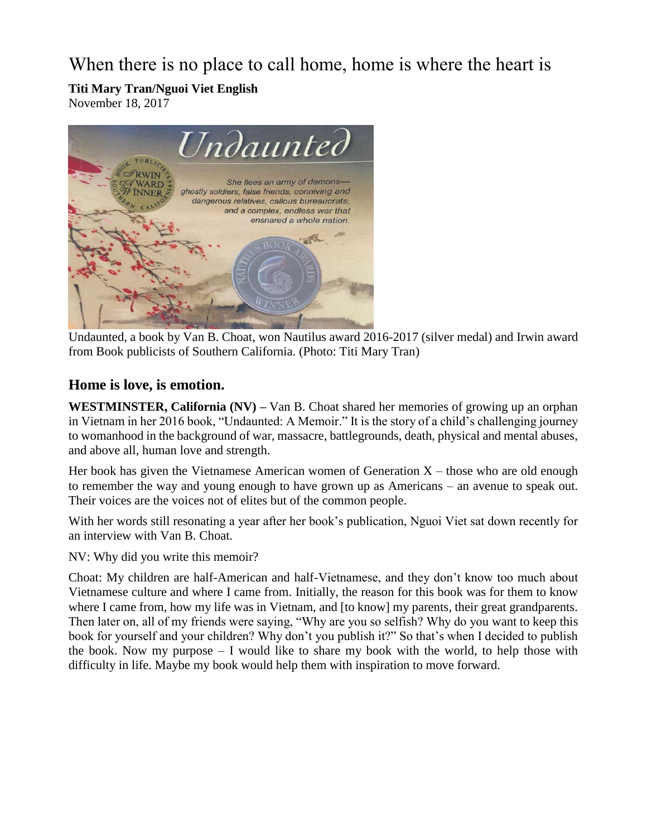When there is no place to call home, home is where the heart is

**Titi Mary Tran/Nguoi Viet English**

November 18, 2017



Undaunted, a book by Van B. Choat, won Nautilus award 2016-2017 (silver medal) and Irwin award from Book publicists of Southern California. (Photo: Titi Mary Tran)

## **Home is love, is emotion.**

**WESTMINSTER, California (NV) –** Van B. Choat shared her memories of growing up an orphan in Vietnam in her 2016 book, "Undaunted: A Memoir." It is the story of a child's challenging journey to womanhood in the background of war, massacre, battlegrounds, death, physical and mental abuses, and above all, human love and strength.

Her book has given the Vietnamese American women of Generation  $X -$  those who are old enough to remember the way and young enough to have grown up as Americans – an avenue to speak out. Their voices are the voices not of elites but of the common people.

With her words still resonating a year after her book's publication, Nguoi Viet sat down recently for an interview with Van B. Choat.

NV: Why did you write this memoir?

Choat: My children are half-American and half-Vietnamese, and they don't know too much about Vietnamese culture and where I came from. Initially, the reason for this book was for them to know where I came from, how my life was in Vietnam, and [to know] my parents, their great grandparents. Then later on, all of my friends were saying, "Why are you so selfish? Why do you want to keep this book for yourself and your children? Why don't you publish it?" So that's when I decided to publish the book. Now my purpose – I would like to share my book with the world, to help those with difficulty in life. Maybe my book would help them with inspiration to move forward.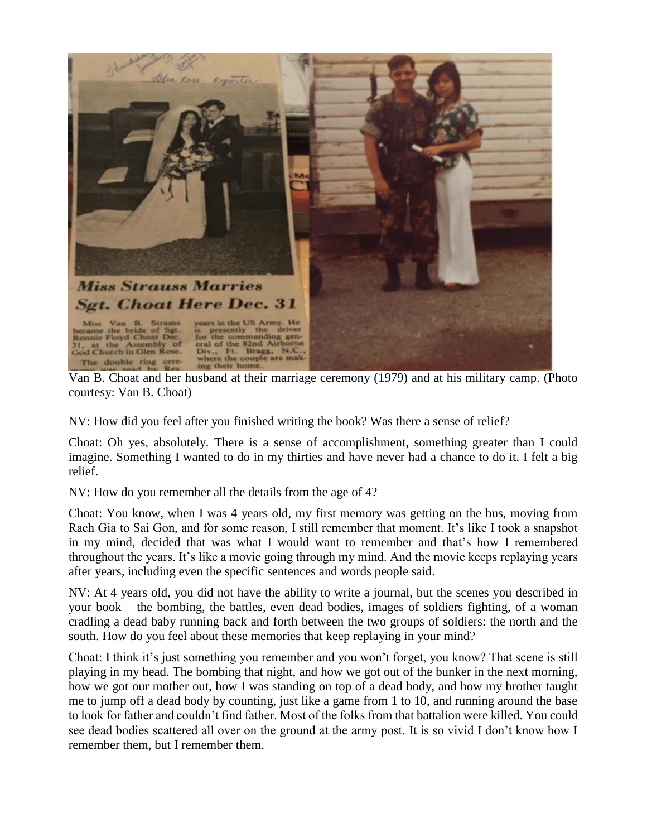

Van B. Choat and her husband at their marriage ceremony (1979) and at his military camp. (Photo courtesy: Van B. Choat)

NV: How did you feel after you finished writing the book? Was there a sense of relief?

Choat: Oh yes, absolutely. There is a sense of accomplishment, something greater than I could imagine. Something I wanted to do in my thirties and have never had a chance to do it. I felt a big relief.

NV: How do you remember all the details from the age of 4?

Choat: You know, when I was 4 years old, my first memory was getting on the bus, moving from Rach Gia to Sai Gon, and for some reason, I still remember that moment. It's like I took a snapshot in my mind, decided that was what I would want to remember and that's how I remembered throughout the years. It's like a movie going through my mind. And the movie keeps replaying years after years, including even the specific sentences and words people said.

NV: At 4 years old, you did not have the ability to write a journal, but the scenes you described in your book – the bombing, the battles, even dead bodies, images of soldiers fighting, of a woman cradling a dead baby running back and forth between the two groups of soldiers: the north and the south. How do you feel about these memories that keep replaying in your mind?

Choat: I think it's just something you remember and you won't forget, you know? That scene is still playing in my head. The bombing that night, and how we got out of the bunker in the next morning, how we got our mother out, how I was standing on top of a dead body, and how my brother taught me to jump off a dead body by counting, just like a game from 1 to 10, and running around the base to look for father and couldn't find father. Most of the folks from that battalion were killed. You could see dead bodies scattered all over on the ground at the army post. It is so vivid I don't know how I remember them, but I remember them.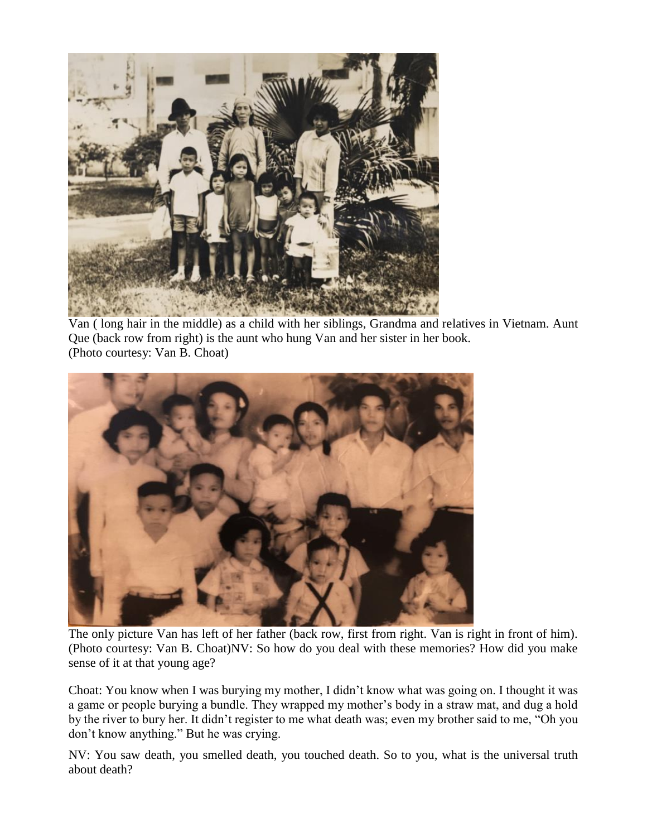

Van ( long hair in the middle) as a child with her siblings, Grandma and relatives in Vietnam. Aunt Que (back row from right) is the aunt who hung Van and her sister in her book. (Photo courtesy: Van B. Choat)



The only picture Van has left of her father (back row, first from right. Van is right in front of him). (Photo courtesy: Van B. Choat)NV: So how do you deal with these memories? How did you make sense of it at that young age?

Choat: You know when I was burying my mother, I didn't know what was going on. I thought it was a game or people burying a bundle. They wrapped my mother's body in a straw mat, and dug a hold by the river to bury her. It didn't register to me what death was; even my brother said to me, "Oh you don't know anything." But he was crying.

NV: You saw death, you smelled death, you touched death. So to you, what is the universal truth about death?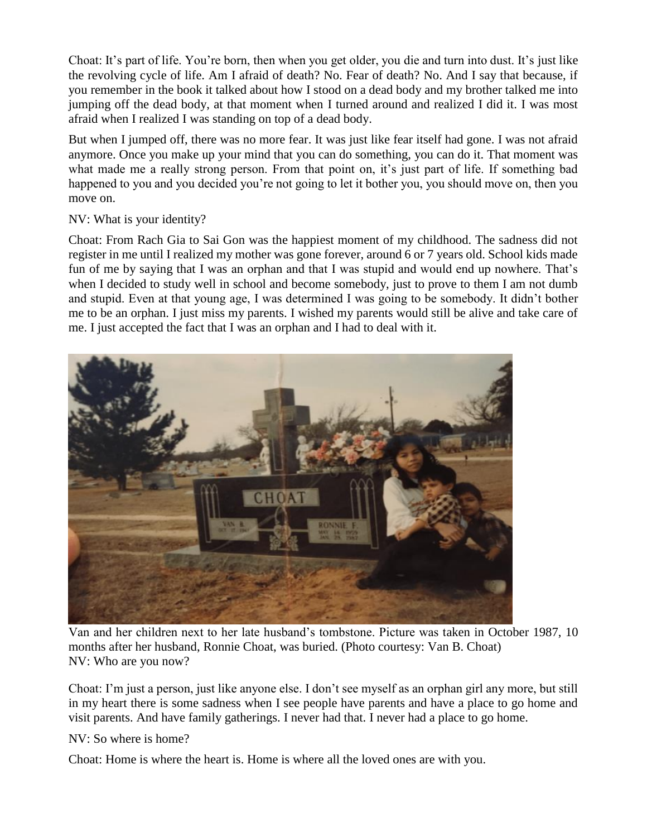Choat: It's part of life. You're born, then when you get older, you die and turn into dust. It's just like the revolving cycle of life. Am I afraid of death? No. Fear of death? No. And I say that because, if you remember in the book it talked about how I stood on a dead body and my brother talked me into jumping off the dead body, at that moment when I turned around and realized I did it. I was most afraid when I realized I was standing on top of a dead body.

But when I jumped off, there was no more fear. It was just like fear itself had gone. I was not afraid anymore. Once you make up your mind that you can do something, you can do it. That moment was what made me a really strong person. From that point on, it's just part of life. If something bad happened to you and you decided you're not going to let it bother you, you should move on, then you move on.

## NV: What is your identity?

Choat: From Rach Gia to Sai Gon was the happiest moment of my childhood. The sadness did not register in me until I realized my mother was gone forever, around 6 or 7 years old. School kids made fun of me by saying that I was an orphan and that I was stupid and would end up nowhere. That's when I decided to study well in school and become somebody, just to prove to them I am not dumb and stupid. Even at that young age, I was determined I was going to be somebody. It didn't bother me to be an orphan. I just miss my parents. I wished my parents would still be alive and take care of me. I just accepted the fact that I was an orphan and I had to deal with it.



Van and her children next to her late husband's tombstone. Picture was taken in October 1987, 10 months after her husband, Ronnie Choat, was buried. (Photo courtesy: Van B. Choat) NV: Who are you now?

Choat: I'm just a person, just like anyone else. I don't see myself as an orphan girl any more, but still in my heart there is some sadness when I see people have parents and have a place to go home and visit parents. And have family gatherings. I never had that. I never had a place to go home.

NV: So where is home?

Choat: Home is where the heart is. Home is where all the loved ones are with you.